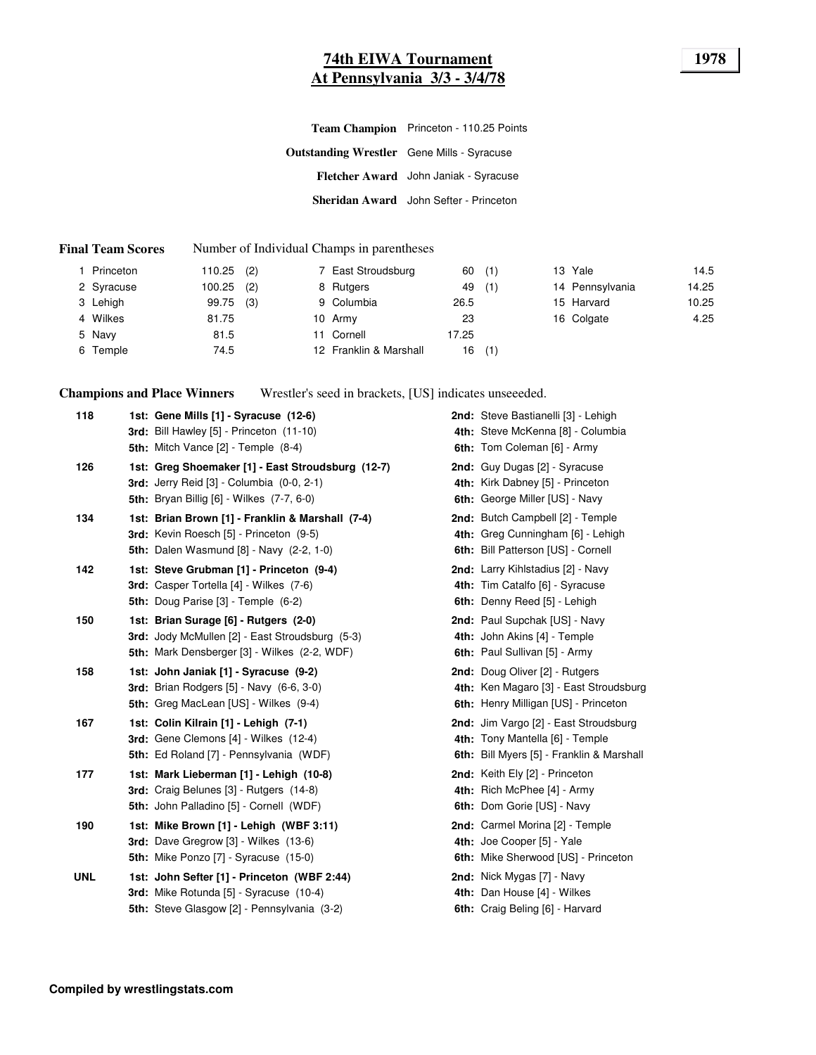#### **74th EIWA Tournament 1978 At Pennsylvania 3/3 - 3/4/78**

|                                                   | Team Champion Princeton - 110.25 Points |
|---------------------------------------------------|-----------------------------------------|
| <b>Outstanding Wrestler</b> Gene Mills - Syracuse |                                         |
|                                                   | Fletcher Award John Janiak - Syracuse   |
|                                                   | Sheridan Award John Sefter - Princeton  |

#### **Final Team Scores** Number of Individual Champs in parentheses

| Princeton  | 110.25 | (2) | 7 East Stroudsburg     | 60    | (1) | 13 Yale         | 14.5  |
|------------|--------|-----|------------------------|-------|-----|-----------------|-------|
| 2 Syracuse | 100.25 | (2) | 8 Rutgers              | 49    | (1) | 14 Pennsylvania | 14.25 |
| 3 Lehigh   | 99.75  | (3) | 9 Columbia             | 26.5  |     | 15 Harvard      | 10.25 |
| 4 Wilkes   | 81.75  |     | 10 Army                | 23    |     | 16 Colgate      | 4.25  |
| 5 Navy     | 81.5   |     | 11 Cornell             | 17.25 |     |                 |       |
| 6 Temple   | 74.5   |     | 12 Franklin & Marshall | 16    | (1) |                 |       |

**Champions and Place Winners** Wrestler's seed in brackets, [US] indicates unseeeded.

| 118        | 1st: Gene Mills [1] - Syracuse (12-6)<br>3rd: Bill Hawley [5] - Princeton (11-10)<br><b>5th:</b> Mitch Vance $[2]$ - Temple $(8-4)$                       | 2nd: Steve Bastianelli [3] - Lehigh<br>4th: Steve McKenna [8] - Columbia<br>6th: Tom Coleman [6] - Army               |
|------------|-----------------------------------------------------------------------------------------------------------------------------------------------------------|-----------------------------------------------------------------------------------------------------------------------|
| 126        | 1st: Greg Shoemaker [1] - East Stroudsburg (12-7)<br><b>3rd:</b> Jerry Reid [3] - Columbia (0-0, 2-1)<br><b>5th:</b> Bryan Billig [6] - Wilkes (7-7, 6-0) | 2nd: Guy Dugas [2] - Syracuse<br>4th: Kirk Dabney [5] - Princeton<br>6th: George Miller [US] - Navy                   |
| 134        | 1st: Brian Brown [1] - Franklin & Marshall (7-4)<br>3rd: Kevin Roesch [5] - Princeton (9-5)<br><b>5th:</b> Dalen Wasmund [8] - Navy (2-2, 1-0)            | 2nd: Butch Campbell [2] - Temple<br>4th: Greg Cunningham [6] - Lehigh<br>6th: Bill Patterson [US] - Cornell           |
| 142        | 1st: Steve Grubman [1] - Princeton (9-4)<br><b>3rd:</b> Casper Tortella [4] - Wilkes (7-6)<br>5th: Doug Parise [3] - Temple (6-2)                         | 2nd: Larry Kihlstadius [2] - Navy<br>4th: Tim Catalfo [6] - Syracuse<br>6th: Denny Reed [5] - Lehigh                  |
| 150        | 1st: Brian Surage [6] - Rutgers (2-0)<br>3rd: Jody McMullen [2] - East Stroudsburg (5-3)<br>5th: Mark Densberger [3] - Wilkes (2-2, WDF)                  | 2nd: Paul Supchak [US] - Navy<br>4th: John Akins [4] - Temple<br>6th: Paul Sullivan [5] - Army                        |
| 158        | 1st: John Janiak [1] - Syracuse (9-2)<br><b>3rd:</b> Brian Rodgers [5] - Navy (6-6, 3-0)<br>5th: Greg MacLean [US] - Wilkes (9-4)                         | 2nd: Doug Oliver [2] - Rutgers<br>4th: Ken Magaro [3] - East Stroudsburg<br>6th: Henry Milligan [US] - Princeton      |
| 167        | 1st: Colin Kilrain [1] - Lehigh (7-1)<br>3rd: Gene Clemons [4] - Wilkes (12-4)<br><b>5th:</b> Ed Roland [7] - Pennsylvania (WDF)                          | 2nd: Jim Vargo [2] - East Stroudsburg<br>4th: Tony Mantella [6] - Temple<br>6th: Bill Myers [5] - Franklin & Marshall |
| 177        | 1st: Mark Lieberman [1] - Lehigh (10-8)<br><b>3rd:</b> Craig Belunes [3] - Rutgers (14-8)<br>5th: John Palladino [5] - Cornell (WDF)                      | 2nd: Keith Ely [2] - Princeton<br>4th: Rich McPhee [4] - Army<br>6th: Dom Gorie [US] - Navy                           |
| 190        | 1st: Mike Brown [1] - Lehigh (WBF 3:11)<br>3rd: Dave Gregrow [3] - Wilkes (13-6)<br>5th: Mike Ponzo [7] - Syracuse (15-0)                                 | 2nd: Carmel Morina [2] - Temple<br>4th: Joe Cooper [5] - Yale<br>6th: Mike Sherwood [US] - Princeton                  |
| <b>UNL</b> | 1st: John Sefter [1] - Princeton (WBF 2:44)<br>3rd: Mike Rotunda [5] - Syracuse (10-4)<br>5th: Steve Glasgow [2] - Pennsylvania (3-2)                     | 2nd: Nick Mygas [7] - Navy<br>4th: Dan House [4] - Wilkes<br>6th: Craig Beling [6] - Harvard                          |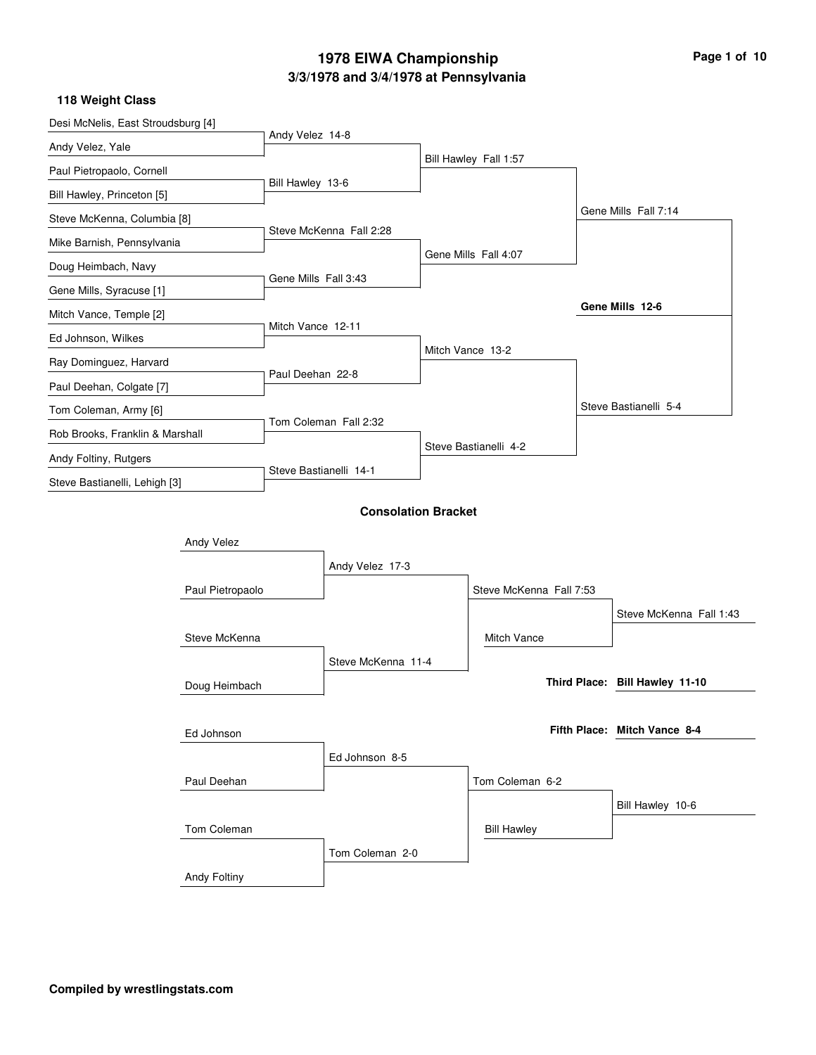| Desi McNelis, East Stroudsburg [4] |                     |                        |                            |                         |                                |  |
|------------------------------------|---------------------|------------------------|----------------------------|-------------------------|--------------------------------|--|
| Andy Velez, Yale                   |                     | Andy Velez 14-8        |                            |                         |                                |  |
| Paul Pietropaolo, Cornell          |                     |                        |                            | Bill Hawley Fall 1:57   |                                |  |
| Bill Hawley, Princeton [5]         |                     | Bill Hawley 13-6       |                            |                         |                                |  |
| Steve McKenna, Columbia [8]        |                     |                        |                            |                         | Gene Mills Fall 7:14           |  |
| Mike Barnish, Pennsylvania         |                     |                        | Steve McKenna Fall 2:28    |                         |                                |  |
| Doug Heimbach, Navy                |                     |                        |                            | Gene Mills Fall 4:07    |                                |  |
| Gene Mills, Syracuse [1]           |                     | Gene Mills Fall 3:43   |                            |                         |                                |  |
| Mitch Vance, Temple [2]            |                     |                        |                            |                         | Gene Mills 12-6                |  |
| Ed Johnson, Wilkes                 |                     | Mitch Vance 12-11      |                            |                         |                                |  |
| Ray Dominguez, Harvard             |                     |                        |                            | Mitch Vance 13-2        |                                |  |
| Paul Deehan, Colgate [7]           |                     | Paul Deehan 22-8       |                            |                         |                                |  |
| Tom Coleman, Army [6]              |                     |                        |                            |                         | Steve Bastianelli 5-4          |  |
| Rob Brooks, Franklin & Marshall    |                     |                        | Tom Coleman Fall 2:32      |                         |                                |  |
| Andy Foltiny, Rutgers              |                     |                        |                            | Steve Bastianelli 4-2   |                                |  |
| Steve Bastianelli, Lehigh [3]      |                     | Steve Bastianelli 14-1 |                            |                         |                                |  |
|                                    |                     |                        | <b>Consolation Bracket</b> |                         |                                |  |
|                                    | Andy Velez          |                        |                            |                         |                                |  |
|                                    |                     |                        | Andy Velez 17-3            |                         |                                |  |
|                                    | Paul Pietropaolo    |                        |                            | Steve McKenna Fall 7:53 |                                |  |
|                                    |                     |                        |                            |                         | Steve McKenna Fall 1:43        |  |
|                                    | Steve McKenna       |                        |                            | Mitch Vance             |                                |  |
|                                    |                     |                        | Steve McKenna 11-4         |                         |                                |  |
|                                    | Doug Heimbach       |                        |                            |                         | Third Place: Bill Hawley 11-10 |  |
|                                    |                     |                        |                            |                         |                                |  |
|                                    | Ed Johnson          |                        |                            |                         | Fifth Place: Mitch Vance 8-4   |  |
|                                    |                     |                        | Ed Johnson 8-5             |                         |                                |  |
|                                    | Paul Deehan         |                        |                            | Tom Coleman 6-2         |                                |  |
|                                    |                     |                        |                            |                         | Bill Hawley 10-6               |  |
|                                    | Tom Coleman         |                        |                            | <b>Bill Hawley</b>      |                                |  |
|                                    |                     |                        | Tom Coleman 2-0            |                         |                                |  |
|                                    | <b>Andy Foltiny</b> |                        |                            |                         |                                |  |
|                                    |                     |                        |                            |                         |                                |  |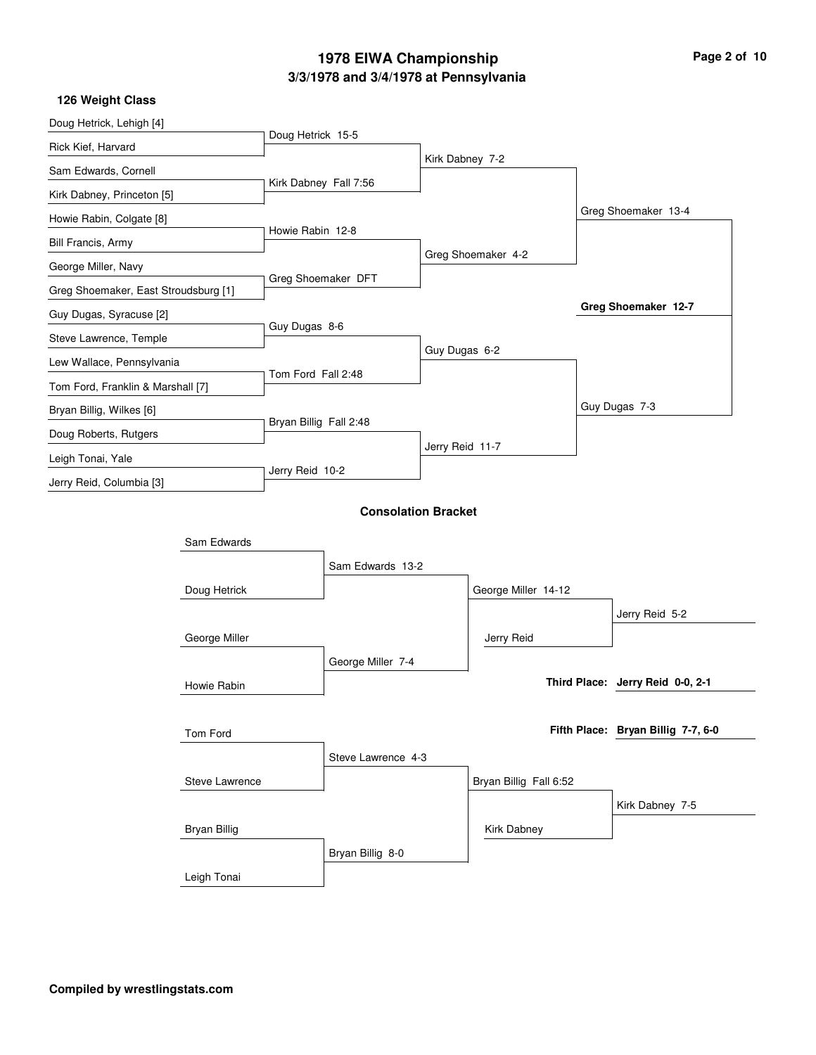| Page 2 of 10 |  |  |
|--------------|--|--|
|              |  |  |

| 126 Weight Class                     |                     |                        |                            |                 |                        |                                    |
|--------------------------------------|---------------------|------------------------|----------------------------|-----------------|------------------------|------------------------------------|
| Doug Hetrick, Lehigh [4]             |                     |                        |                            |                 |                        |                                    |
| Rick Kief, Harvard                   |                     | Doug Hetrick 15-5      |                            |                 |                        |                                    |
| Sam Edwards, Cornell                 |                     |                        |                            | Kirk Dabney 7-2 |                        |                                    |
| Kirk Dabney, Princeton [5]           |                     |                        | Kirk Dabney Fall 7:56      |                 |                        |                                    |
| Howie Rabin, Colgate [8]             |                     |                        |                            |                 |                        | Greg Shoemaker 13-4                |
| Bill Francis, Army                   |                     | Howie Rabin 12-8       |                            |                 |                        |                                    |
| George Miller, Navy                  |                     |                        |                            |                 | Greg Shoemaker 4-2     |                                    |
| Greg Shoemaker, East Stroudsburg [1] |                     |                        | Greg Shoemaker DFT         |                 |                        |                                    |
| Guy Dugas, Syracuse [2]              |                     |                        |                            |                 |                        | Greg Shoemaker 12-7                |
| Steve Lawrence, Temple               |                     | Guy Dugas 8-6          |                            |                 |                        |                                    |
| Lew Wallace, Pennsylvania            |                     |                        |                            | Guy Dugas 6-2   |                        |                                    |
| Tom Ford, Franklin & Marshall [7]    |                     | Tom Ford Fall 2:48     |                            |                 |                        |                                    |
| Bryan Billig, Wilkes [6]             |                     |                        |                            |                 |                        | Guy Dugas 7-3                      |
| Doug Roberts, Rutgers                |                     | Bryan Billig Fall 2:48 |                            |                 |                        |                                    |
| Leigh Tonai, Yale                    |                     |                        |                            | Jerry Reid 11-7 |                        |                                    |
| Jerry Reid, Columbia [3]             |                     | Jerry Reid 10-2        |                            |                 |                        |                                    |
|                                      |                     |                        |                            |                 |                        |                                    |
|                                      |                     |                        | <b>Consolation Bracket</b> |                 |                        |                                    |
|                                      | Sam Edwards         |                        |                            |                 |                        |                                    |
|                                      |                     |                        | Sam Edwards 13-2           |                 |                        |                                    |
|                                      | Doug Hetrick        |                        |                            |                 | George Miller 14-12    |                                    |
|                                      |                     |                        |                            |                 |                        | Jerry Reid 5-2                     |
|                                      | George Miller       |                        |                            |                 | Jerry Reid             |                                    |
|                                      |                     |                        | George Miller 7-4          |                 |                        |                                    |
|                                      | Howie Rabin         |                        |                            |                 |                        | Third Place: Jerry Reid 0-0, 2-1   |
|                                      |                     |                        |                            |                 |                        |                                    |
|                                      | Tom Ford            |                        |                            |                 |                        | Fifth Place: Bryan Billig 7-7, 6-0 |
|                                      |                     |                        | Steve Lawrence 4-3         |                 |                        |                                    |
|                                      | Steve Lawrence      |                        |                            |                 | Bryan Billig Fall 6:52 |                                    |
|                                      |                     |                        |                            |                 |                        | Kirk Dabney 7-5                    |
|                                      | <b>Bryan Billig</b> |                        |                            |                 | Kirk Dabney            |                                    |
|                                      |                     |                        | Bryan Billig 8-0           |                 |                        |                                    |
|                                      | Leigh Tonai         |                        |                            |                 |                        |                                    |
|                                      |                     |                        |                            |                 |                        |                                    |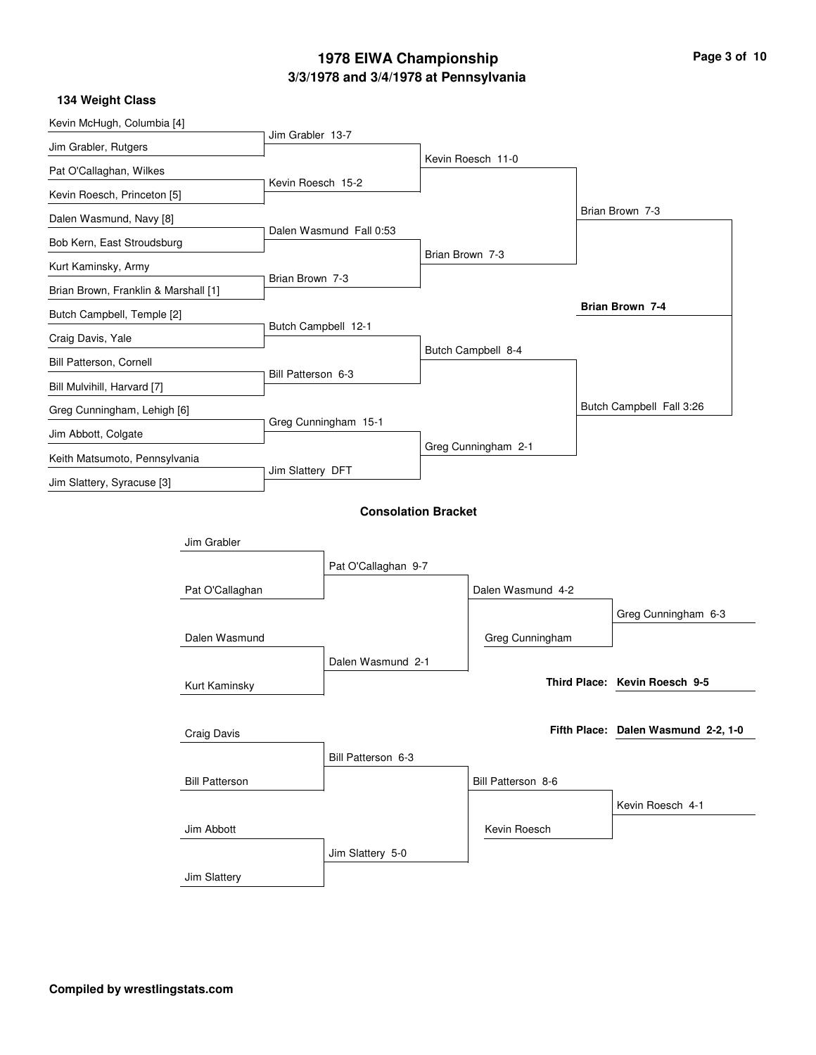| Kevin McHugh, Columbia [4]           |                       |                     |                            |                 |                     |                                     |
|--------------------------------------|-----------------------|---------------------|----------------------------|-----------------|---------------------|-------------------------------------|
| Jim Grabler, Rutgers                 |                       | Jim Grabler 13-7    |                            |                 |                     |                                     |
| Pat O'Callaghan, Wilkes              |                       |                     |                            |                 | Kevin Roesch 11-0   |                                     |
| Kevin Roesch, Princeton [5]          |                       | Kevin Roesch 15-2   |                            |                 |                     |                                     |
| Dalen Wasmund, Navy [8]              |                       |                     |                            |                 |                     | Brian Brown 7-3                     |
| Bob Kern, East Stroudsburg           |                       |                     | Dalen Wasmund Fall 0:53    |                 |                     |                                     |
| Kurt Kaminsky, Army                  |                       |                     |                            | Brian Brown 7-3 |                     |                                     |
| Brian Brown, Franklin & Marshall [1] |                       | Brian Brown 7-3     |                            |                 |                     |                                     |
| Butch Campbell, Temple [2]           |                       |                     |                            |                 |                     | Brian Brown 7-4                     |
| Craig Davis, Yale                    |                       | Butch Campbell 12-1 |                            |                 |                     |                                     |
| Bill Patterson, Cornell              |                       |                     |                            |                 | Butch Campbell 8-4  |                                     |
| Bill Mulvihill, Harvard [7]          |                       | Bill Patterson 6-3  |                            |                 |                     |                                     |
| Greg Cunningham, Lehigh [6]          |                       |                     |                            |                 |                     | Butch Campbell Fall 3:26            |
| Jim Abbott, Colgate                  |                       |                     | Greg Cunningham 15-1       |                 |                     |                                     |
| Keith Matsumoto, Pennsylvania        |                       |                     |                            |                 | Greg Cunningham 2-1 |                                     |
| Jim Slattery, Syracuse [3]           |                       | Jim Slattery DFT    |                            |                 |                     |                                     |
|                                      |                       |                     | <b>Consolation Bracket</b> |                 |                     |                                     |
|                                      | Jim Grabler           |                     |                            |                 |                     |                                     |
|                                      |                       |                     | Pat O'Callaghan 9-7        |                 |                     |                                     |
|                                      | Pat O'Callaghan       |                     |                            |                 | Dalen Wasmund 4-2   |                                     |
|                                      |                       |                     |                            |                 |                     | Greg Cunningham 6-3                 |
|                                      | Dalen Wasmund         |                     |                            |                 | Greg Cunningham     |                                     |
|                                      |                       |                     | Dalen Wasmund 2-1          |                 |                     |                                     |
|                                      | Kurt Kaminsky         |                     |                            |                 |                     | Third Place: Kevin Roesch 9-5       |
|                                      |                       |                     |                            |                 |                     |                                     |
|                                      | Craig Davis           |                     |                            |                 |                     | Fifth Place: Dalen Wasmund 2-2, 1-0 |
|                                      |                       |                     | Bill Patterson 6-3         |                 |                     |                                     |
|                                      | <b>Bill Patterson</b> |                     |                            |                 | Bill Patterson 8-6  |                                     |
|                                      |                       |                     |                            |                 |                     | Kevin Roesch 4-1                    |
|                                      | Jim Abbott            |                     |                            |                 | Kevin Roesch        |                                     |
|                                      |                       |                     | Jim Slattery 5-0           |                 |                     |                                     |
|                                      | Jim Slattery          |                     |                            |                 |                     |                                     |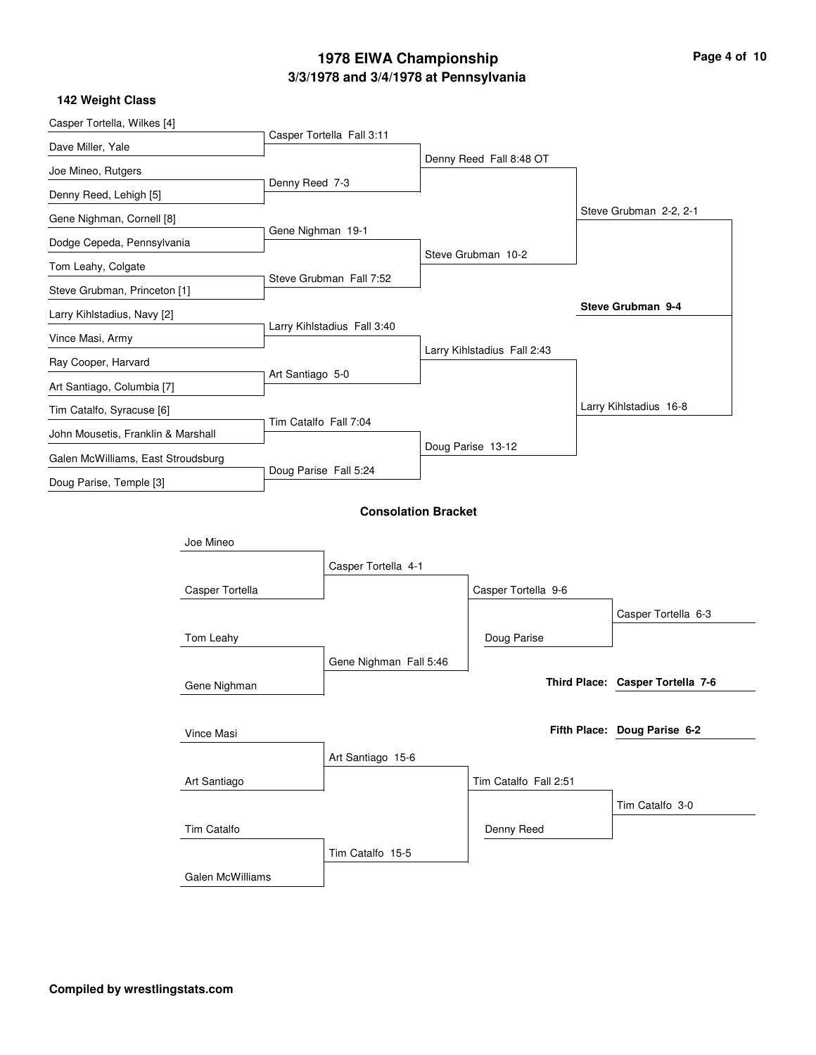| Casper Tortella, Wilkes [4]        |                  |                       |                             |  |                             |                                  |
|------------------------------------|------------------|-----------------------|-----------------------------|--|-----------------------------|----------------------------------|
| Dave Miller, Yale                  |                  |                       | Casper Tortella Fall 3:11   |  |                             |                                  |
| Joe Mineo, Rutgers                 |                  |                       |                             |  | Denny Reed Fall 8:48 OT     |                                  |
| Denny Reed, Lehigh [5]             |                  | Denny Reed 7-3        |                             |  |                             |                                  |
| Gene Nighman, Cornell [8]          |                  |                       |                             |  |                             | Steve Grubman 2-2, 2-1           |
| Dodge Cepeda, Pennsylvania         |                  | Gene Nighman 19-1     |                             |  |                             |                                  |
| Tom Leahy, Colgate                 |                  |                       |                             |  | Steve Grubman 10-2          |                                  |
| Steve Grubman, Princeton [1]       |                  |                       | Steve Grubman Fall 7:52     |  |                             |                                  |
| Larry Kihlstadius, Navy [2]        |                  |                       |                             |  |                             | Steve Grubman 9-4                |
| Vince Masi, Army                   |                  |                       | Larry Kihlstadius Fall 3:40 |  |                             |                                  |
| Ray Cooper, Harvard                |                  |                       |                             |  | Larry Kihlstadius Fall 2:43 |                                  |
| Art Santiago, Columbia [7]         |                  | Art Santiago 5-0      |                             |  |                             |                                  |
| Tim Catalfo, Syracuse [6]          |                  |                       |                             |  |                             | Larry Kihlstadius 16-8           |
| John Mousetis, Franklin & Marshall |                  | Tim Catalfo Fall 7:04 |                             |  |                             |                                  |
| Galen McWilliams, East Stroudsburg |                  |                       |                             |  | Doug Parise 13-12           |                                  |
| Doug Parise, Temple [3]            |                  | Doug Parise Fall 5:24 |                             |  |                             |                                  |
|                                    |                  |                       | <b>Consolation Bracket</b>  |  |                             |                                  |
|                                    |                  |                       |                             |  |                             |                                  |
|                                    | Joe Mineo        |                       |                             |  |                             |                                  |
|                                    |                  |                       | Casper Tortella 4-1         |  |                             |                                  |
|                                    | Casper Tortella  |                       |                             |  | Casper Tortella 9-6         |                                  |
|                                    |                  |                       |                             |  |                             | Casper Tortella 6-3              |
|                                    | Tom Leahy        |                       |                             |  | Doug Parise                 |                                  |
|                                    |                  |                       | Gene Nighman Fall 5:46      |  |                             |                                  |
|                                    | Gene Nighman     |                       |                             |  |                             | Third Place: Casper Tortella 7-6 |
|                                    |                  |                       |                             |  |                             |                                  |
|                                    | Vince Masi       |                       |                             |  |                             | Fifth Place: Doug Parise 6-2     |
|                                    |                  |                       | Art Santiago 15-6           |  |                             |                                  |
|                                    | Art Santiago     |                       |                             |  | Tim Catalfo Fall 2:51       |                                  |
|                                    |                  |                       |                             |  |                             | Tim Catalfo 3-0                  |
|                                    | Tim Catalfo      |                       |                             |  | Denny Reed                  |                                  |
|                                    |                  |                       | Tim Catalfo 15-5            |  |                             |                                  |
|                                    | Galen McWilliams |                       |                             |  |                             |                                  |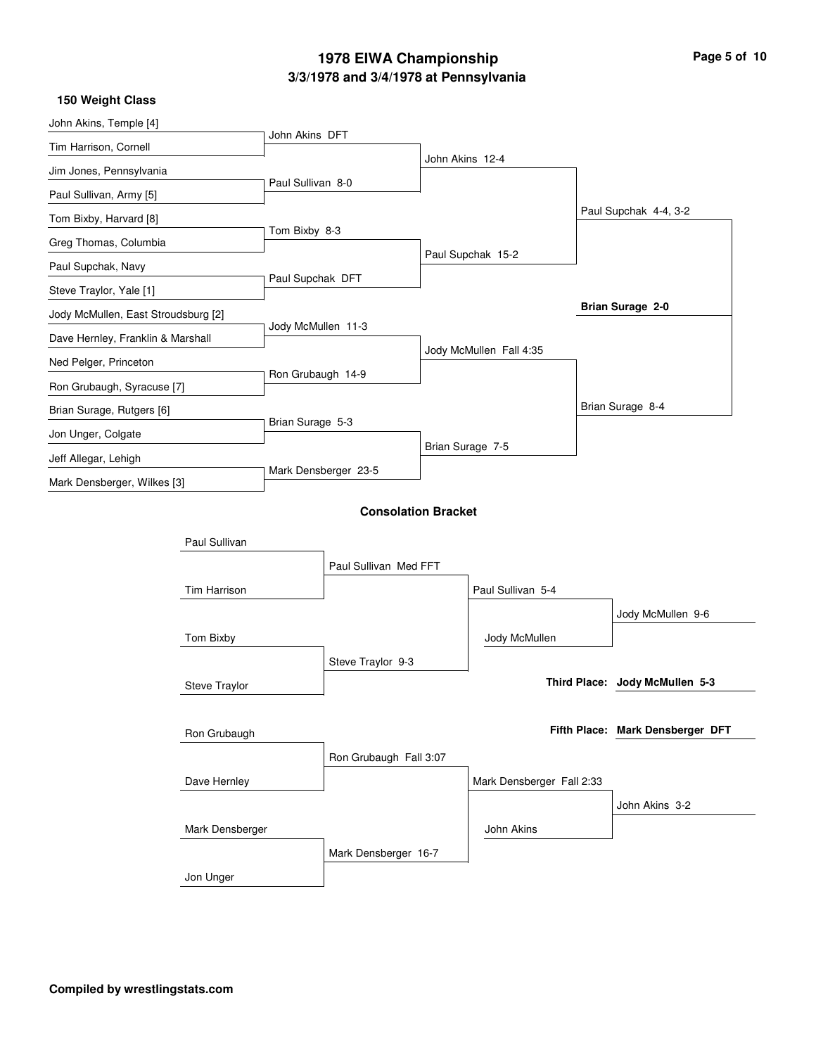| Page 5 of 10 |  |  |
|--------------|--|--|
|              |  |  |

| 150 Weight Class                    |                 |                    |                            |                  |                           |                                  |
|-------------------------------------|-----------------|--------------------|----------------------------|------------------|---------------------------|----------------------------------|
| John Akins, Temple [4]              |                 | John Akins DFT     |                            |                  |                           |                                  |
| Tim Harrison, Cornell               |                 |                    |                            | John Akins 12-4  |                           |                                  |
| Jim Jones, Pennsylvania             |                 | Paul Sullivan 8-0  |                            |                  |                           |                                  |
| Paul Sullivan, Army [5]             |                 |                    |                            |                  |                           |                                  |
| Tom Bixby, Harvard [8]              |                 | Tom Bixby 8-3      |                            |                  |                           | Paul Supchak 4-4, 3-2            |
| Greg Thomas, Columbia               |                 |                    |                            |                  | Paul Supchak 15-2         |                                  |
| Paul Supchak, Navy                  |                 |                    |                            |                  |                           |                                  |
| Steve Traylor, Yale [1]             |                 | Paul Supchak DFT   |                            |                  |                           |                                  |
| Jody McMullen, East Stroudsburg [2] |                 |                    |                            |                  |                           | Brian Surage 2-0                 |
| Dave Hernley, Franklin & Marshall   |                 | Jody McMullen 11-3 |                            |                  |                           |                                  |
| Ned Pelger, Princeton               |                 | Ron Grubaugh 14-9  |                            |                  | Jody McMullen Fall 4:35   |                                  |
| Ron Grubaugh, Syracuse [7]          |                 |                    |                            |                  |                           |                                  |
| Brian Surage, Rutgers [6]           |                 |                    |                            |                  |                           | Brian Surage 8-4                 |
| Jon Unger, Colgate                  |                 | Brian Surage 5-3   |                            | Brian Surage 7-5 |                           |                                  |
| Jeff Allegar, Lehigh                |                 |                    |                            |                  |                           |                                  |
| Mark Densberger, Wilkes [3]         |                 |                    | Mark Densberger 23-5       |                  |                           |                                  |
|                                     |                 |                    | <b>Consolation Bracket</b> |                  |                           |                                  |
|                                     | Paul Sullivan   |                    |                            |                  |                           |                                  |
|                                     |                 |                    |                            |                  |                           |                                  |
|                                     |                 |                    | Paul Sullivan Med FFT      |                  | Paul Sullivan 5-4         |                                  |
|                                     | Tim Harrison    |                    |                            |                  |                           |                                  |
|                                     |                 |                    |                            |                  |                           | Jody McMullen 9-6                |
|                                     | Tom Bixby       |                    |                            |                  | Jody McMullen             |                                  |
|                                     |                 |                    | Steve Traylor 9-3          |                  |                           | Third Place: Jody McMullen 5-3   |
|                                     | Steve Traylor   |                    |                            |                  |                           |                                  |
|                                     |                 |                    |                            |                  |                           | Fifth Place: Mark Densberger DFT |
|                                     | Ron Grubaugh    |                    |                            |                  |                           |                                  |
|                                     |                 |                    | Ron Grubaugh Fall 3:07     |                  |                           |                                  |
|                                     | Dave Hernley    |                    |                            |                  | Mark Densberger Fall 2:33 |                                  |
|                                     |                 |                    |                            |                  |                           | John Akins 3-2                   |
|                                     | Mark Densberger |                    |                            |                  | John Akins                |                                  |
|                                     |                 |                    | Mark Densberger 16-7       |                  |                           |                                  |
|                                     | Jon Unger       |                    |                            |                  |                           |                                  |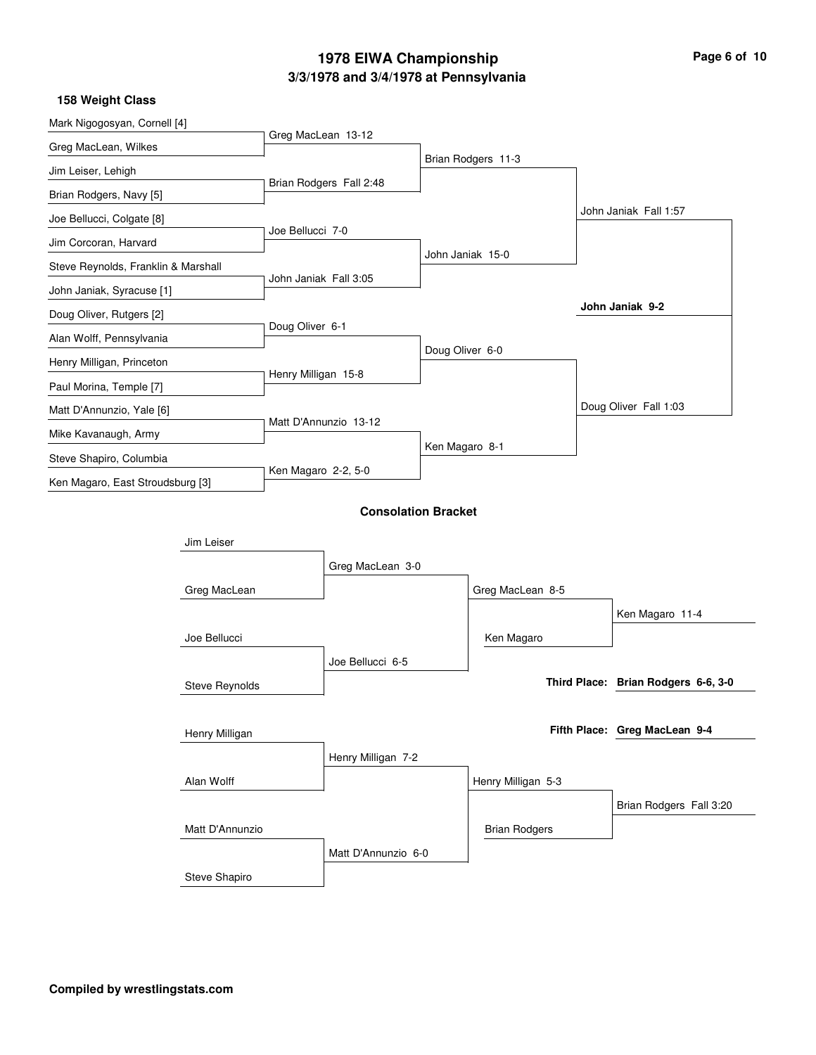| Mark Nigogosyan, Cornell [4]        |                       |                       |                            |                  |                      |                                     |
|-------------------------------------|-----------------------|-----------------------|----------------------------|------------------|----------------------|-------------------------------------|
| Greg MacLean, Wilkes                |                       | Greg MacLean 13-12    |                            |                  |                      |                                     |
| Jim Leiser, Lehigh                  |                       |                       |                            |                  | Brian Rodgers 11-3   |                                     |
| Brian Rodgers, Navy [5]             |                       |                       | Brian Rodgers Fall 2:48    |                  |                      |                                     |
| Joe Bellucci, Colgate [8]           |                       |                       |                            |                  |                      | John Janiak Fall 1:57               |
| Jim Corcoran, Harvard               |                       | Joe Bellucci 7-0      |                            |                  |                      |                                     |
| Steve Reynolds, Franklin & Marshall |                       |                       |                            | John Janiak 15-0 |                      |                                     |
| John Janiak, Syracuse [1]           |                       | John Janiak Fall 3:05 |                            |                  |                      |                                     |
| Doug Oliver, Rutgers [2]            |                       |                       |                            |                  |                      | John Janiak 9-2                     |
| Alan Wolff, Pennsylvania            |                       | Doug Oliver 6-1       |                            |                  |                      |                                     |
| Henry Milligan, Princeton           |                       |                       |                            | Doug Oliver 6-0  |                      |                                     |
| Paul Morina, Temple [7]             |                       | Henry Milligan 15-8   |                            |                  |                      |                                     |
| Matt D'Annunzio, Yale [6]           |                       |                       |                            |                  |                      | Doug Oliver Fall 1:03               |
| Mike Kavanaugh, Army                |                       |                       | Matt D'Annunzio 13-12      |                  |                      |                                     |
| Steve Shapiro, Columbia             |                       |                       |                            | Ken Magaro 8-1   |                      |                                     |
| Ken Magaro, East Stroudsburg [3]    |                       | Ken Magaro 2-2, 5-0   |                            |                  |                      |                                     |
|                                     |                       |                       | <b>Consolation Bracket</b> |                  |                      |                                     |
|                                     | Jim Leiser            |                       |                            |                  |                      |                                     |
|                                     |                       |                       | Greg MacLean 3-0           |                  |                      |                                     |
|                                     | Greg MacLean          |                       |                            |                  | Greg MacLean 8-5     |                                     |
|                                     |                       |                       |                            |                  |                      | Ken Magaro 11-4                     |
|                                     | Joe Bellucci          |                       |                            |                  | Ken Magaro           |                                     |
|                                     |                       |                       | Joe Bellucci 6-5           |                  |                      |                                     |
|                                     | <b>Steve Reynolds</b> |                       |                            |                  |                      | Third Place: Brian Rodgers 6-6, 3-0 |
|                                     |                       |                       |                            |                  |                      |                                     |
|                                     | Henry Milligan        |                       |                            |                  |                      | Fifth Place: Greg MacLean 9-4       |
|                                     |                       |                       | Henry Milligan 7-2         |                  |                      |                                     |
|                                     | Alan Wolff            |                       |                            |                  | Henry Milligan 5-3   |                                     |
|                                     |                       |                       |                            |                  |                      | Brian Rodgers Fall 3:20             |
|                                     | Matt D'Annunzio       |                       |                            |                  | <b>Brian Rodgers</b> |                                     |
|                                     |                       |                       | Matt D'Annunzio 6-0        |                  |                      |                                     |
|                                     | Steve Shapiro         |                       |                            |                  |                      |                                     |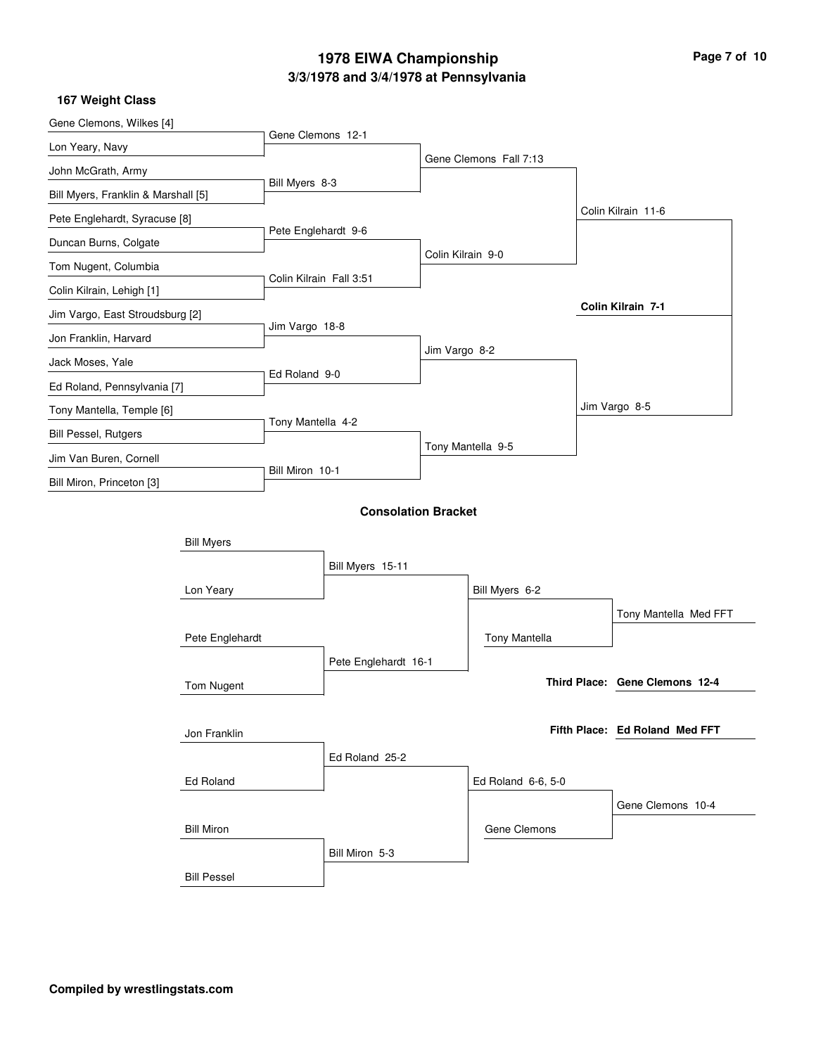| Gene Clemons, Wilkes [4]            |                    |                         |                            |                   |                        |                                |
|-------------------------------------|--------------------|-------------------------|----------------------------|-------------------|------------------------|--------------------------------|
| Lon Yeary, Navy                     |                    | Gene Clemons 12-1       |                            |                   |                        |                                |
| John McGrath, Army                  |                    |                         |                            |                   | Gene Clemons Fall 7:13 |                                |
| Bill Myers, Franklin & Marshall [5] |                    | Bill Myers 8-3          |                            |                   |                        |                                |
| Pete Englehardt, Syracuse [8]       |                    |                         |                            |                   |                        | Colin Kilrain 11-6             |
| Duncan Burns, Colgate               |                    | Pete Englehardt 9-6     |                            |                   |                        |                                |
| Tom Nugent, Columbia                |                    |                         |                            | Colin Kilrain 9-0 |                        |                                |
| Colin Kilrain, Lehigh [1]           |                    | Colin Kilrain Fall 3:51 |                            |                   |                        |                                |
| Jim Vargo, East Stroudsburg [2]     |                    |                         |                            |                   |                        | Colin Kilrain 7-1              |
| Jon Franklin, Harvard               |                    | Jim Vargo 18-8          |                            |                   |                        |                                |
| Jack Moses, Yale                    |                    |                         |                            | Jim Vargo 8-2     |                        |                                |
| Ed Roland, Pennsylvania [7]         |                    | Ed Roland 9-0           |                            |                   |                        |                                |
| Tony Mantella, Temple [6]           |                    |                         |                            |                   |                        | Jim Vargo 8-5                  |
| <b>Bill Pessel, Rutgers</b>         |                    | Tony Mantella 4-2       |                            |                   |                        |                                |
| Jim Van Buren, Cornell              |                    |                         |                            |                   | Tony Mantella 9-5      |                                |
| Bill Miron, Princeton [3]           |                    | Bill Miron 10-1         |                            |                   |                        |                                |
|                                     |                    |                         | <b>Consolation Bracket</b> |                   |                        |                                |
|                                     | <b>Bill Myers</b>  |                         |                            |                   |                        |                                |
|                                     |                    |                         | Bill Myers 15-11           |                   |                        |                                |
|                                     | Lon Yeary          |                         |                            |                   | Bill Myers 6-2         |                                |
|                                     |                    |                         |                            |                   |                        | Tony Mantella Med FFT          |
|                                     | Pete Englehardt    |                         |                            |                   | Tony Mantella          |                                |
|                                     |                    |                         | Pete Englehardt 16-1       |                   |                        |                                |
|                                     | Tom Nugent         |                         |                            |                   |                        | Third Place: Gene Clemons 12-4 |
|                                     |                    |                         |                            |                   |                        |                                |
|                                     | Jon Franklin       |                         |                            |                   |                        | Fifth Place: Ed Roland Med FFT |
|                                     |                    |                         | Ed Roland 25-2             |                   |                        |                                |
|                                     | Ed Roland          |                         |                            |                   | Ed Roland 6-6, 5-0     |                                |
|                                     |                    |                         |                            |                   |                        | Gene Clemons 10-4              |
|                                     | <b>Bill Miron</b>  |                         |                            |                   | Gene Clemons           |                                |
|                                     |                    |                         | Bill Miron 5-3             |                   |                        |                                |
|                                     | <b>Bill Pessel</b> |                         |                            |                   |                        |                                |
|                                     |                    |                         |                            |                   |                        |                                |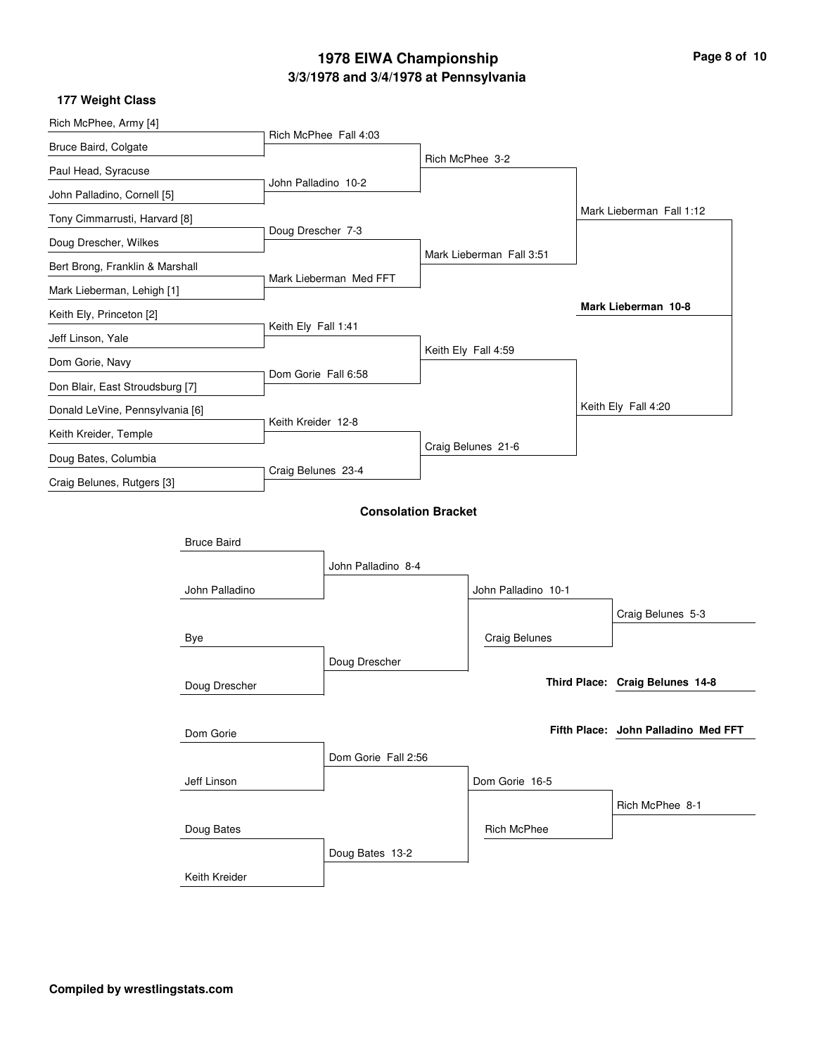| Page 8 of 10 |  |  |  |  |
|--------------|--|--|--|--|
|--------------|--|--|--|--|

| 177 Weight Class                                                                          |                    |                        |                            |                     |                          |  |                                     |
|-------------------------------------------------------------------------------------------|--------------------|------------------------|----------------------------|---------------------|--------------------------|--|-------------------------------------|
| Rich McPhee, Army [4]<br>Bruce Baird, Colgate                                             |                    |                        |                            |                     |                          |  |                                     |
|                                                                                           |                    |                        | Rich McPhee Fall 4:03      |                     |                          |  |                                     |
| Paul Head, Syracuse                                                                       |                    |                        |                            |                     | Rich McPhee 3-2          |  |                                     |
| John Palladino, Cornell [5]                                                               |                    | John Palladino 10-2    |                            |                     |                          |  |                                     |
| Tony Cimmarrusti, Harvard [8]                                                             |                    |                        |                            |                     |                          |  | Mark Lieberman Fall 1:12            |
| Doug Drescher, Wilkes                                                                     |                    | Doug Drescher 7-3      |                            |                     |                          |  |                                     |
| Bert Brong, Franklin & Marshall<br>Mark Lieberman, Lehigh [1]<br>Keith Ely, Princeton [2] |                    |                        |                            |                     | Mark Lieberman Fall 3:51 |  |                                     |
|                                                                                           |                    | Mark Lieberman Med FFT |                            |                     |                          |  |                                     |
|                                                                                           |                    |                        |                            |                     |                          |  | Mark Lieberman 10-8                 |
| Jeff Linson, Yale                                                                         |                    | Keith Ely Fall 1:41    |                            |                     |                          |  |                                     |
| Dom Gorie, Navy                                                                           |                    |                        |                            |                     | Keith Ely Fall 4:59      |  |                                     |
|                                                                                           |                    | Dom Gorie Fall 6:58    |                            |                     |                          |  |                                     |
| Don Blair, East Stroudsburg [7]                                                           |                    |                        |                            |                     |                          |  | Keith Ely Fall 4:20                 |
| Donald LeVine, Pennsylvania [6]                                                           |                    | Keith Kreider 12-8     |                            |                     |                          |  |                                     |
| Keith Kreider, Temple<br>Doug Bates, Columbia<br>Craig Belunes, Rutgers [3]               |                    |                        |                            | Craig Belunes 21-6  |                          |  |                                     |
|                                                                                           |                    | Craig Belunes 23-4     |                            |                     |                          |  |                                     |
|                                                                                           |                    |                        |                            |                     |                          |  |                                     |
|                                                                                           |                    |                        | <b>Consolation Bracket</b> |                     |                          |  |                                     |
|                                                                                           | <b>Bruce Baird</b> |                        |                            |                     |                          |  |                                     |
|                                                                                           |                    |                        | John Palladino 8-4         |                     |                          |  |                                     |
| John Palladino<br>Bye<br>Doug Drescher                                                    |                    |                        |                            | John Palladino 10-1 |                          |  |                                     |
|                                                                                           |                    |                        |                            |                     |                          |  | Craig Belunes 5-3                   |
|                                                                                           |                    |                        |                            |                     |                          |  |                                     |
|                                                                                           |                    |                        |                            |                     | <b>Craig Belunes</b>     |  |                                     |
|                                                                                           |                    | Doug Drescher          |                            |                     |                          |  |                                     |
|                                                                                           |                    |                        |                            |                     |                          |  | Third Place: Craig Belunes 14-8     |
|                                                                                           |                    |                        |                            |                     |                          |  |                                     |
| Dom Gorie                                                                                 |                    |                        |                            |                     |                          |  | Fifth Place: John Palladino Med FFT |
|                                                                                           |                    |                        | Dom Gorie Fall 2:56        |                     |                          |  |                                     |
|                                                                                           | Jeff Linson        |                        |                            |                     | Dom Gorie 16-5           |  |                                     |
|                                                                                           | Doug Bates         |                        |                            |                     |                          |  | Rich McPhee 8-1                     |
|                                                                                           |                    |                        |                            |                     | <b>Rich McPhee</b>       |  |                                     |
|                                                                                           |                    |                        | Doug Bates 13-2            |                     |                          |  |                                     |
|                                                                                           | Keith Kreider      |                        |                            |                     |                          |  |                                     |
|                                                                                           |                    |                        |                            |                     |                          |  |                                     |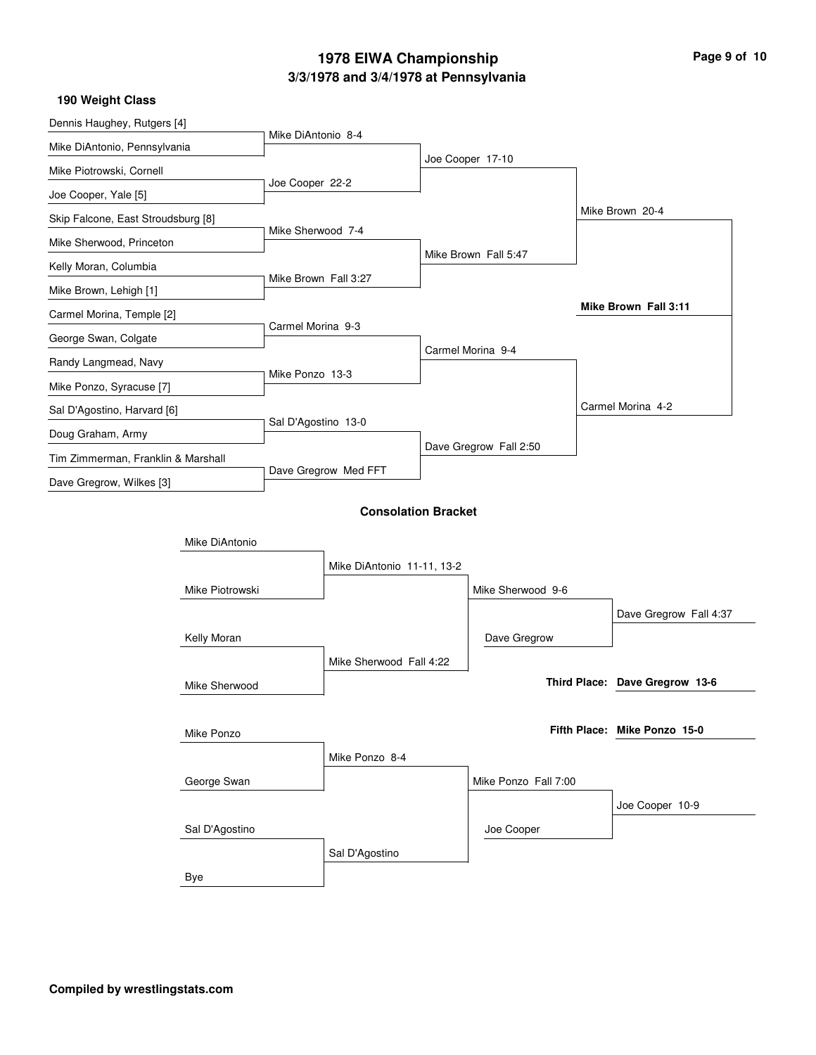| Page 9 of 10 |  |
|--------------|--|
|--------------|--|

 $\overline{\phantom{a}}$ 

| 190 Weight Class                   |                      |                            |                            |                        |  |                                |
|------------------------------------|----------------------|----------------------------|----------------------------|------------------------|--|--------------------------------|
| Dennis Haughey, Rutgers [4]        | Mike DiAntonio 8-4   |                            |                            |                        |  |                                |
| Mike DiAntonio, Pennsylvania       |                      |                            |                            | Joe Cooper 17-10       |  |                                |
| Mike Piotrowski, Cornell           | Joe Cooper 22-2      |                            |                            |                        |  |                                |
| Joe Cooper, Yale [5]               |                      |                            |                            |                        |  |                                |
| Skip Falcone, East Stroudsburg [8] | Mike Sherwood 7-4    |                            |                            |                        |  | Mike Brown 20-4                |
| Mike Sherwood, Princeton           |                      |                            |                            | Mike Brown Fall 5:47   |  |                                |
| Kelly Moran, Columbia              | Mike Brown Fall 3:27 |                            |                            |                        |  |                                |
| Mike Brown, Lehigh [1]             |                      |                            |                            |                        |  |                                |
| Carmel Morina, Temple [2]          | Carmel Morina 9-3    |                            |                            |                        |  | Mike Brown Fall 3:11           |
| George Swan, Colgate               |                      |                            |                            | Carmel Morina 9-4      |  |                                |
| Randy Langmead, Navy               | Mike Ponzo 13-3      |                            |                            |                        |  |                                |
| Mike Ponzo, Syracuse [7]           |                      |                            |                            |                        |  |                                |
| Sal D'Agostino, Harvard [6]        | Sal D'Agostino 13-0  |                            |                            |                        |  | Carmel Morina 4-2              |
| Doug Graham, Army                  |                      |                            |                            |                        |  |                                |
| Tim Zimmerman, Franklin & Marshall |                      | Dave Gregrow Med FFT       |                            | Dave Gregrow Fall 2:50 |  |                                |
| Dave Gregrow, Wilkes [3]           |                      |                            |                            |                        |  |                                |
|                                    |                      |                            | <b>Consolation Bracket</b> |                        |  |                                |
| Mike DiAntonio                     |                      |                            |                            |                        |  |                                |
|                                    |                      | Mike DiAntonio 11-11, 13-2 |                            |                        |  |                                |
| Mike Piotrowski                    |                      |                            |                            | Mike Sherwood 9-6      |  |                                |
|                                    |                      |                            |                            |                        |  | Dave Gregrow Fall 4:37         |
| Kelly Moran                        |                      |                            |                            | Dave Gregrow           |  |                                |
|                                    |                      | Mike Sherwood Fall 4:22    |                            |                        |  |                                |
| Mike Sherwood                      |                      |                            |                            |                        |  | Third Place: Dave Gregrow 13-6 |
|                                    |                      |                            |                            |                        |  |                                |
| Mike Ponzo                         |                      |                            |                            |                        |  | Fifth Place: Mike Ponzo 15-0   |
|                                    |                      | Mike Ponzo 8-4             |                            |                        |  |                                |
| George Swan                        |                      |                            |                            | Mike Ponzo Fall 7:00   |  |                                |
|                                    |                      |                            |                            |                        |  | Joe Cooper 10-9                |
| Sal D'Agostino                     |                      |                            |                            | Joe Cooper             |  |                                |
|                                    |                      | Sal D'Agostino             |                            |                        |  |                                |
| <b>Bye</b>                         |                      |                            |                            |                        |  |                                |